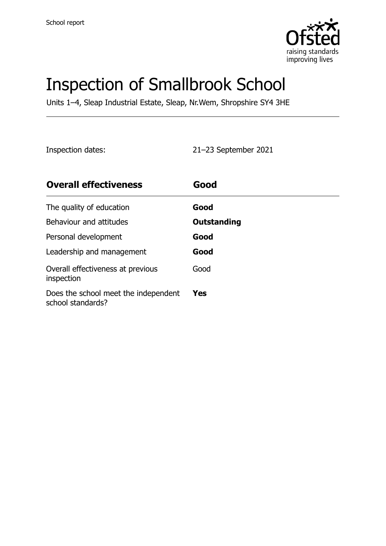

# Inspection of Smallbrook School

Units 1–4, Sleap Industrial Estate, Sleap, Nr.Wem, Shropshire SY4 3HE

Inspection dates: 21–23 September 2021

| <b>Overall effectiveness</b>                              | Good        |
|-----------------------------------------------------------|-------------|
| The quality of education                                  | Good        |
| Behaviour and attitudes                                   | Outstanding |
| Personal development                                      | Good        |
| Leadership and management                                 | Good        |
| Overall effectiveness at previous<br>inspection           | Good        |
| Does the school meet the independent<br>school standards? | <b>Yes</b>  |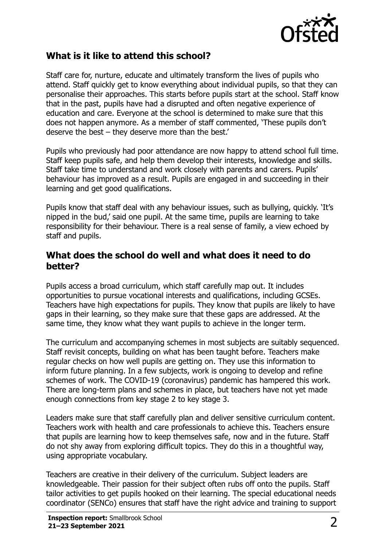

#### **What is it like to attend this school?**

Staff care for, nurture, educate and ultimately transform the lives of pupils who attend. Staff quickly get to know everything about individual pupils, so that they can personalise their approaches. This starts before pupils start at the school. Staff know that in the past, pupils have had a disrupted and often negative experience of education and care. Everyone at the school is determined to make sure that this does not happen anymore. As a member of staff commented, 'These pupils don't deserve the best – they deserve more than the best.'

Pupils who previously had poor attendance are now happy to attend school full time. Staff keep pupils safe, and help them develop their interests, knowledge and skills. Staff take time to understand and work closely with parents and carers. Pupils' behaviour has improved as a result. Pupils are engaged in and succeeding in their learning and get good qualifications.

Pupils know that staff deal with any behaviour issues, such as bullying, quickly. 'It's nipped in the bud,' said one pupil. At the same time, pupils are learning to take responsibility for their behaviour. There is a real sense of family, a view echoed by staff and pupils.

#### **What does the school do well and what does it need to do better?**

Pupils access a broad curriculum, which staff carefully map out. It includes opportunities to pursue vocational interests and qualifications, including GCSEs. Teachers have high expectations for pupils. They know that pupils are likely to have gaps in their learning, so they make sure that these gaps are addressed. At the same time, they know what they want pupils to achieve in the longer term.

The curriculum and accompanying schemes in most subjects are suitably sequenced. Staff revisit concepts, building on what has been taught before. Teachers make regular checks on how well pupils are getting on. They use this information to inform future planning. In a few subjects, work is ongoing to develop and refine schemes of work. The COVID-19 (coronavirus) pandemic has hampered this work. There are long-term plans and schemes in place, but teachers have not yet made enough connections from key stage 2 to key stage 3.

Leaders make sure that staff carefully plan and deliver sensitive curriculum content. Teachers work with health and care professionals to achieve this. Teachers ensure that pupils are learning how to keep themselves safe, now and in the future. Staff do not shy away from exploring difficult topics. They do this in a thoughtful way, using appropriate vocabulary.

Teachers are creative in their delivery of the curriculum. Subject leaders are knowledgeable. Their passion for their subject often rubs off onto the pupils. Staff tailor activities to get pupils hooked on their learning. The special educational needs coordinator (SENCo) ensures that staff have the right advice and training to support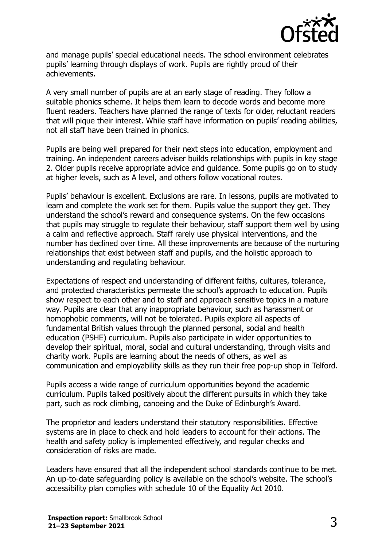

and manage pupils' special educational needs. The school environment celebrates pupils' learning through displays of work. Pupils are rightly proud of their achievements.

A very small number of pupils are at an early stage of reading. They follow a suitable phonics scheme. It helps them learn to decode words and become more fluent readers. Teachers have planned the range of texts for older, reluctant readers that will pique their interest. While staff have information on pupils' reading abilities, not all staff have been trained in phonics.

Pupils are being well prepared for their next steps into education, employment and training. An independent careers adviser builds relationships with pupils in key stage 2. Older pupils receive appropriate advice and guidance. Some pupils go on to study at higher levels, such as A level, and others follow vocational routes.

Pupils' behaviour is excellent. Exclusions are rare. In lessons, pupils are motivated to learn and complete the work set for them. Pupils value the support they get. They understand the school's reward and consequence systems. On the few occasions that pupils may struggle to regulate their behaviour, staff support them well by using a calm and reflective approach. Staff rarely use physical interventions, and the number has declined over time. All these improvements are because of the nurturing relationships that exist between staff and pupils, and the holistic approach to understanding and regulating behaviour.

Expectations of respect and understanding of different faiths, cultures, tolerance, and protected characteristics permeate the school's approach to education. Pupils show respect to each other and to staff and approach sensitive topics in a mature way. Pupils are clear that any inappropriate behaviour, such as harassment or homophobic comments, will not be tolerated. Pupils explore all aspects of fundamental British values through the planned personal, social and health education (PSHE) curriculum. Pupils also participate in wider opportunities to develop their spiritual, moral, social and cultural understanding, through visits and charity work. Pupils are learning about the needs of others, as well as communication and employability skills as they run their free pop-up shop in Telford.

Pupils access a wide range of curriculum opportunities beyond the academic curriculum. Pupils talked positively about the different pursuits in which they take part, such as rock climbing, canoeing and the Duke of Edinburgh's Award.

The proprietor and leaders understand their statutory responsibilities. Effective systems are in place to check and hold leaders to account for their actions. The health and safety policy is implemented effectively, and regular checks and consideration of risks are made.

Leaders have ensured that all the independent school standards continue to be met. An up-to-date safeguarding policy is available on the school's website. The school's accessibility plan complies with schedule 10 of the Equality Act 2010.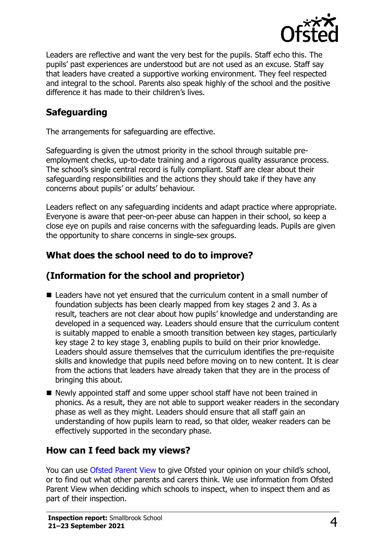

Leaders are reflective and want the very best for the pupils. Staff echo this. The pupils' past experiences are understood but are not used as an excuse. Staff say that leaders have created a supportive working environment. They feel respected and integral to the school. Parents also speak highly of the school and the positive difference it has made to their children's lives.

### **Safeguarding**

The arrangements for safeguarding are effective.

Safeguarding is given the utmost priority in the school through suitable preemployment checks, up-to-date training and a rigorous quality assurance process. The school's single central record is fully compliant. Staff are clear about their safeguarding responsibilities and the actions they should take if they have any concerns about pupils' or adults' behaviour.

Leaders reflect on any safeguarding incidents and adapt practice where appropriate. Everyone is aware that peer-on-peer abuse can happen in their school, so keep a close eye on pupils and raise concerns with the safeguarding leads. Pupils are given the opportunity to share concerns in single-sex groups.

#### **What does the school need to do to improve?**

### **(Information for the school and proprietor)**

- Leaders have not yet ensured that the curriculum content in a small number of foundation subjects has been clearly mapped from key stages 2 and 3. As a result, teachers are not clear about how pupils' knowledge and understanding are developed in a sequenced way. Leaders should ensure that the curriculum content is suitably mapped to enable a smooth transition between key stages, particularly key stage 2 to key stage 3, enabling pupils to build on their prior knowledge. Leaders should assure themselves that the curriculum identifies the pre-requisite skills and knowledge that pupils need before moving on to new content. It is clear from the actions that leaders have already taken that they are in the process of bringing this about.
- Newly appointed staff and some upper school staff have not been trained in phonics. As a result, they are not able to support weaker readers in the secondary phase as well as they might. Leaders should ensure that all staff gain an understanding of how pupils learn to read, so that older, weaker readers can be effectively supported in the secondary phase.

#### **How can I feed back my views?**

You can use [Ofsted Parent View](http://parentview.ofsted.gov.uk/) to give Ofsted your opinion on your child's school, or to find out what other parents and carers think. We use information from Ofsted Parent View when deciding which schools to inspect, when to inspect them and as part of their inspection.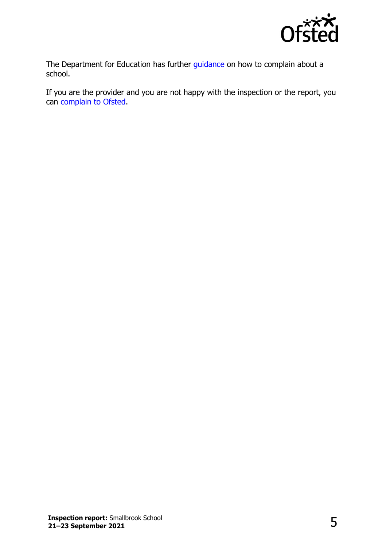

The Department for Education has further [guidance](http://www.gov.uk/complain-about-school) on how to complain about a school.

If you are the provider and you are not happy with the inspection or the report, you can [complain to Ofsted.](http://www.gov.uk/complain-ofsted-report)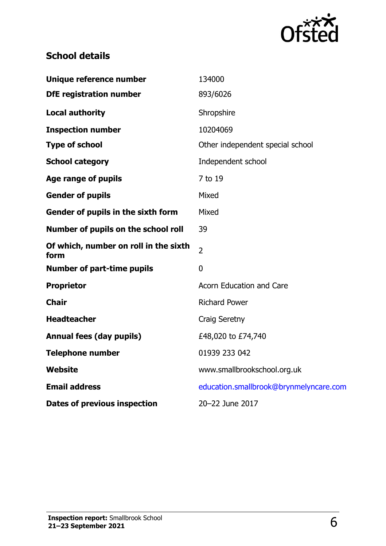

## **School details**

| Unique reference number                       | 134000                                 |
|-----------------------------------------------|----------------------------------------|
| <b>DfE registration number</b>                | 893/6026                               |
| Local authority                               | Shropshire                             |
| <b>Inspection number</b>                      | 10204069                               |
| <b>Type of school</b>                         | Other independent special school       |
| <b>School category</b>                        | Independent school                     |
| Age range of pupils                           | 7 to 19                                |
| <b>Gender of pupils</b>                       | Mixed                                  |
| Gender of pupils in the sixth form            | Mixed                                  |
| Number of pupils on the school roll           | 39                                     |
| Of which, number on roll in the sixth<br>form | $\overline{2}$                         |
| <b>Number of part-time pupils</b>             | $\overline{0}$                         |
| <b>Proprietor</b>                             | <b>Acorn Education and Care</b>        |
| <b>Chair</b>                                  | <b>Richard Power</b>                   |
| <b>Headteacher</b>                            | Craig Seretny                          |
| <b>Annual fees (day pupils)</b>               | £48,020 to £74,740                     |
| Telephone number                              | 01939 233 042                          |
| Website                                       | www.smallbrookschool.org.uk            |
| <b>Email address</b>                          | education.smallbrook@brynmelyncare.com |
| <b>Dates of previous inspection</b>           | 20-22 June 2017                        |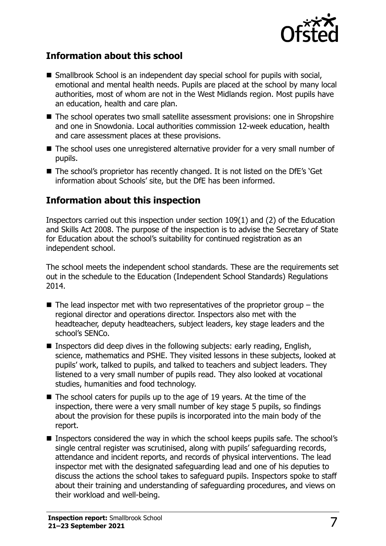

#### **Information about this school**

- Smallbrook School is an independent day special school for pupils with social, emotional and mental health needs. Pupils are placed at the school by many local authorities, most of whom are not in the West Midlands region. Most pupils have an education, health and care plan.
- The school operates two small satellite assessment provisions: one in Shropshire and one in Snowdonia. Local authorities commission 12-week education, health and care assessment places at these provisions.
- The school uses one unregistered alternative provider for a very small number of pupils.
- The school's proprietor has recently changed. It is not listed on the DfE's 'Get information about Schools' site, but the DfE has been informed.

#### **Information about this inspection**

Inspectors carried out this inspection under section 109(1) and (2) of the Education and Skills Act 2008. The purpose of the inspection is to advise the Secretary of State for Education about the school's suitability for continued registration as an independent school.

The school meets the independent school standards. These are the requirements set out in the schedule to the Education (Independent School Standards) Regulations 2014.

- $\blacksquare$  The lead inspector met with two representatives of the proprietor group the regional director and operations director. Inspectors also met with the headteacher, deputy headteachers, subject leaders, key stage leaders and the school's SENCo.
- Inspectors did deep dives in the following subjects: early reading, English, science, mathematics and PSHE. They visited lessons in these subjects, looked at pupils' work, talked to pupils, and talked to teachers and subject leaders. They listened to a very small number of pupils read. They also looked at vocational studies, humanities and food technology.
- $\blacksquare$  The school caters for pupils up to the age of 19 years. At the time of the inspection, there were a very small number of key stage 5 pupils, so findings about the provision for these pupils is incorporated into the main body of the report.
- Inspectors considered the way in which the school keeps pupils safe. The school's single central register was scrutinised, along with pupils' safeguarding records, attendance and incident reports, and records of physical interventions. The lead inspector met with the designated safeguarding lead and one of his deputies to discuss the actions the school takes to safeguard pupils. Inspectors spoke to staff about their training and understanding of safeguarding procedures, and views on their workload and well-being.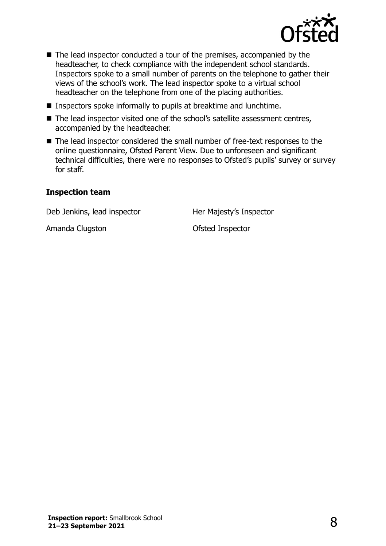

- The lead inspector conducted a tour of the premises, accompanied by the headteacher, to check compliance with the independent school standards. Inspectors spoke to a small number of parents on the telephone to gather their views of the school's work. The lead inspector spoke to a virtual school headteacher on the telephone from one of the placing authorities.
- Inspectors spoke informally to pupils at breaktime and lunchtime.
- The lead inspector visited one of the school's satellite assessment centres, accompanied by the headteacher.
- The lead inspector considered the small number of free-text responses to the online questionnaire, Ofsted Parent View. Due to unforeseen and significant technical difficulties, there were no responses to Ofsted's pupils' survey or survey for staff.

#### **Inspection team**

Deb Jenkins, lead inspector **Her Majesty's Inspector** 

Amanda Clugston **Camarica Clugston** Ofsted Inspector